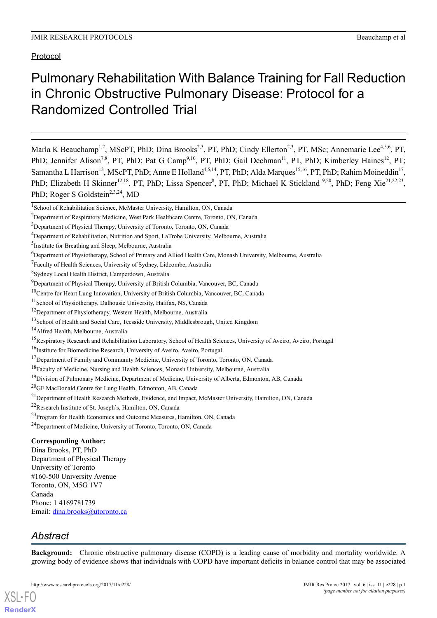# Pulmonary Rehabilitation With Balance Training for Fall Reduction in Chronic Obstructive Pulmonary Disease: Protocol for a Randomized Controlled Trial

Marla K Beauchamp<sup>1,2</sup>, MScPT, PhD; Dina Brooks<sup>2,3</sup>, PT, PhD; Cindy Ellerton<sup>2,3</sup>, PT, MSc; Annemarie Lee<sup>4,5,6</sup>, PT, PhD; Jennifer Alison<sup>7,8</sup>, PT, PhD; Pat G Camp<sup>9,10</sup>, PT, PhD; Gail Dechman<sup>11</sup>, PT, PhD; Kimberley Haines<sup>12</sup>, PT; Samantha L Harrison<sup>13</sup>, MScPT, PhD; Anne E Holland<sup>4,5,14</sup>, PT, PhD; Alda Marques<sup>15,16</sup>, PT, PhD; Rahim Moineddin<sup>17</sup>, PhD; Elizabeth H Skinner<sup>12,18</sup>, PT, PhD; Lissa Spencer<sup>8</sup>, PT, PhD; Michael K Stickland<sup>19,20</sup>, PhD; Feng Xie<sup>21,22,23</sup>, PhD; Roger S Goldstein<sup>2,3,24</sup>, MD

# **Corresponding Author:**

Dina Brooks, PT, PhD Department of Physical Therapy University of Toronto #160-500 University Avenue Toronto, ON, M5G 1V7 Canada Phone: 1 4169781739 Email: [dina.brooks@utoronto.ca](mailto:dina.brooks@utoronto.ca)

# *Abstract*

[XSL](http://www.w3.org/Style/XSL)•FO **[RenderX](http://www.renderx.com/)**

**Background:** Chronic obstructive pulmonary disease (COPD) is a leading cause of morbidity and mortality worldwide. A growing body of evidence shows that individuals with COPD have important deficits in balance control that may be associated

<sup>&</sup>lt;sup>1</sup>School of Rehabilitation Science, McMaster University, Hamilton, ON, Canada

<sup>2</sup>Department of Respiratory Medicine, West Park Healthcare Centre, Toronto, ON, Canada

<sup>&</sup>lt;sup>3</sup>Department of Physical Therapy, University of Toronto, Toronto, ON, Canada

<sup>4</sup>Department of Rehabilitation, Nutrition and Sport, LaTrobe University, Melbourne, Australia

<sup>&</sup>lt;sup>5</sup>Institute for Breathing and Sleep, Melbourne, Australia

<sup>6</sup>Department of Physiotherapy, School of Primary and Allied Health Care, Monash University, Melbourne, Australia

<sup>&</sup>lt;sup>7</sup>Faculty of Health Sciences, University of Sydney, Lidcombe, Australia

<sup>8</sup> Sydney Local Health District, Camperdown, Australia

<sup>&</sup>lt;sup>9</sup>Department of Physical Therapy, University of British Columbia, Vancouver, BC, Canada

<sup>&</sup>lt;sup>10</sup>Centre for Heart Lung Innovation, University of British Columbia, Vancouver, BC, Canada

<sup>11</sup>School of Physiotherapy, Dalhousie University, Halifax, NS, Canada

<sup>&</sup>lt;sup>12</sup>Department of Physiotherapy, Western Health, Melbourne, Australia

<sup>&</sup>lt;sup>13</sup>School of Health and Social Care, Teesside University, Middlesbrough, United Kingdom

<sup>&</sup>lt;sup>14</sup>Alfred Health, Melbourne, Australia

<sup>&</sup>lt;sup>15</sup>Respiratory Research and Rehabilitation Laboratory, School of Health Sciences, University of Aveiro, Aveiro, Portugal

<sup>&</sup>lt;sup>16</sup>Institute for Biomedicine Research, University of Aveiro, Aveiro, Portugal

<sup>&</sup>lt;sup>17</sup>Department of Family and Community Medicine, University of Toronto, Toronto, ON, Canada

<sup>&</sup>lt;sup>18</sup>Faculty of Medicine, Nursing and Health Sciences, Monash University, Melbourne, Australia

<sup>&</sup>lt;sup>19</sup>Division of Pulmonary Medicine, Department of Medicine, University of Alberta, Edmonton, AB, Canada

<sup>20</sup>GF MacDonald Centre for Lung Health, Edmonton, AB, Canada

<sup>&</sup>lt;sup>21</sup> Department of Health Research Methods, Evidence, and Impact, McMaster University, Hamilton, ON, Canada

<sup>22</sup>Research Institute of St. Joseph's, Hamilton, ON, Canada

<sup>&</sup>lt;sup>23</sup>Program for Health Economics and Outcome Measures, Hamilton, ON, Canada

<sup>24</sup>Department of Medicine, University of Toronto, Toronto, ON, Canada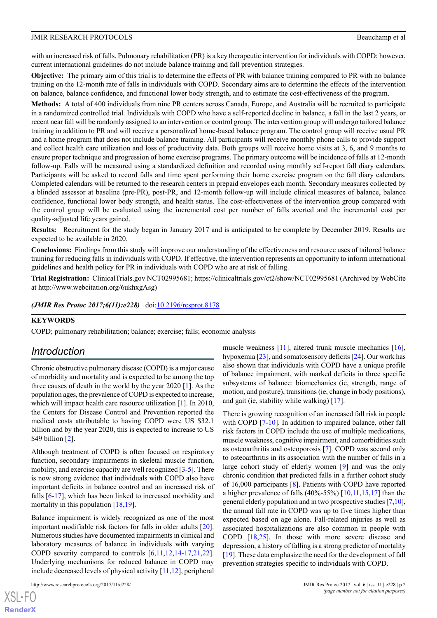with an increased risk of falls. Pulmonary rehabilitation (PR) is a key therapeutic intervention for individuals with COPD; however, current international guidelines do not include balance training and fall prevention strategies.

**Objective:** The primary aim of this trial is to determine the effects of PR with balance training compared to PR with no balance training on the 12-month rate of falls in individuals with COPD. Secondary aims are to determine the effects of the intervention on balance, balance confidence, and functional lower body strength, and to estimate the cost-effectiveness of the program.

**Methods:** A total of 400 individuals from nine PR centers across Canada, Europe, and Australia will be recruited to participate in a randomized controlled trial. Individuals with COPD who have a self-reported decline in balance, a fall in the last 2 years, or recent near fall will be randomly assigned to an intervention or control group. The intervention group will undergo tailored balance training in addition to PR and will receive a personalized home-based balance program. The control group will receive usual PR and a home program that does not include balance training. All participants will receive monthly phone calls to provide support and collect health care utilization and loss of productivity data. Both groups will receive home visits at 3, 6, and 9 months to ensure proper technique and progression of home exercise programs. The primary outcome will be incidence of falls at 12-month follow-up. Falls will be measured using a standardized definition and recorded using monthly self-report fall diary calendars. Participants will be asked to record falls and time spent performing their home exercise program on the fall diary calendars. Completed calendars will be returned to the research centers in prepaid envelopes each month. Secondary measures collected by a blinded assessor at baseline (pre-PR), post-PR, and 12-month follow-up will include clinical measures of balance, balance confidence, functional lower body strength, and health status. The cost-effectiveness of the intervention group compared with the control group will be evaluated using the incremental cost per number of falls averted and the incremental cost per quality-adjusted life years gained.

**Results:** Recruitment for the study began in January 2017 and is anticipated to be complete by December 2019. Results are expected to be available in 2020.

**Conclusions:** Findings from this study will improve our understanding of the effectiveness and resource uses of tailored balance training for reducing falls in individuals with COPD. If effective, the intervention represents an opportunity to inform international guidelines and health policy for PR in individuals with COPD who are at risk of falling.

**Trial Registration:** ClinicalTrials.gov NCT02995681; https://clinicaltrials.gov/ct2/show/NCT02995681 (Archived by WebCite at http://www.webcitation.org/6ukhxgAsg)

*(JMIR Res Protoc 2017;6(11):e228)* doi: $10.2196$ /resprot.8178

#### **KEYWORDS**

COPD; pulmonary rehabilitation; balance; exercise; falls; economic analysis

# *Introduction*

Chronic obstructive pulmonary disease (COPD) is a major cause of morbidity and mortality and is expected to be among the top three causes of death in the world by the year 2020 [\[1](#page-7-0)]. As the population ages, the prevalence of COPD is expected to increase, which will impact health care resource utilization [\[1](#page-7-0)]. In 2010, the Centers for Disease Control and Prevention reported the medical costs attributable to having COPD were US \$32.1 billion and by the year 2020, this is expected to increase to US \$49 billion [[2\]](#page-7-1).

Although treatment of COPD is often focused on respiratory function, secondary impairments in skeletal muscle function, mobility, and exercise capacity are well recognized [[3](#page-7-2)-[5\]](#page-7-3). There is now strong evidence that individuals with COPD also have important deficits in balance control and an increased risk of falls [[6-](#page-7-4)[17\]](#page-7-5), which has been linked to increased morbidity and mortality in this population  $[18,19]$  $[18,19]$  $[18,19]$ .

Balance impairment is widely recognized as one of the most important modifiable risk factors for falls in older adults [[20\]](#page-8-1). Numerous studies have documented impairments in clinical and laboratory measures of balance in individuals with varying COPD severity compared to controls [\[6](#page-7-4),[11](#page-7-7),[12,](#page-7-8)[14-](#page-7-9)[17](#page-7-5)[,21](#page-8-2),[22\]](#page-8-3). Underlying mechanisms for reduced balance in COPD may include decreased levels of physical activity [\[11](#page-7-7)[,12](#page-7-8)], peripheral

http://www.researchprotocols.org/2017/11/e228/ JMIR Res Protoc 2017 | vol. 6 | iss. 11 | e228 | p.2

muscle weakness [[11\]](#page-7-7), altered trunk muscle mechanics [[16\]](#page-7-10), hypoxemia [\[23\]](#page-8-4), and somatosensory deficits [\[24](#page-8-5)]. Our work has also shown that individuals with COPD have a unique profile of balance impairment, with marked deficits in three specific subsystems of balance: biomechanics (ie, strength, range of motion, and posture), transitions (ie, change in body positions), and gait (ie, stability while walking) [\[17](#page-7-5)].

There is growing recognition of an increased fall risk in people with COPD [\[7](#page-7-11)-[10\]](#page-7-12). In addition to impaired balance, other fall risk factors in COPD include the use of multiple medications, muscle weakness, cognitive impairment, and comorbidities such as osteoarthritis and osteoporosis [\[7](#page-7-11)]. COPD was second only to osteoarthritis in its association with the number of falls in a large cohort study of elderly women [\[9\]](#page-7-13) and was the only chronic condition that predicted falls in a further cohort study of 16,000 participants [\[8\]](#page-7-14). Patients with COPD have reported a higher prevalence of falls  $(40\% - 55\%)$  [[10](#page-7-12)[,11](#page-7-7)[,15](#page-7-15),[17\]](#page-7-5) than the general elderly population and in two prospective studies [[7,](#page-7-11)[10](#page-7-12)], the annual fall rate in COPD was up to five times higher than expected based on age alone. Fall-related injuries as well as associated hospitalizations are also common in people with COPD [\[18](#page-7-6),[25\]](#page-8-6). In those with more severe disease and depression, a history of falling is a strong predictor of mortality [[19\]](#page-8-0). These data emphasize the need for the development of fall prevention strategies specific to individuals with COPD.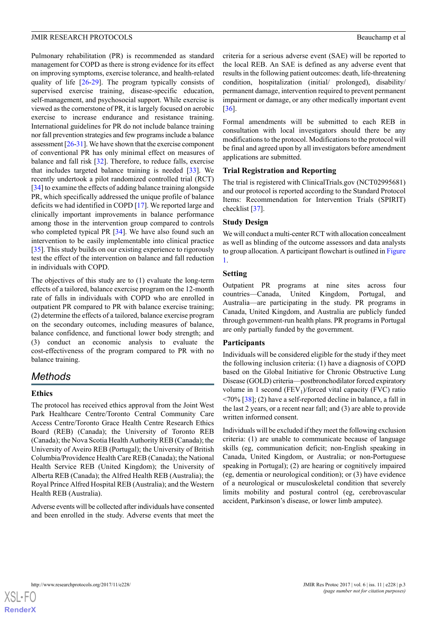Pulmonary rehabilitation (PR) is recommended as standard management for COPD as there is strong evidence for its effect on improving symptoms, exercise tolerance, and health-related quality of life [\[26](#page-8-7)-[29\]](#page-8-8). The program typically consists of supervised exercise training, disease-specific education, self-management, and psychosocial support. While exercise is viewed as the cornerstone of PR, it is largely focused on aerobic exercise to increase endurance and resistance training. International guidelines for PR do not include balance training nor fall prevention strategies and few programs include a balance assessment  $[26-31]$  $[26-31]$ . We have shown that the exercise component of conventional PR has only minimal effect on measures of balance and fall risk [[32\]](#page-8-10). Therefore, to reduce falls, exercise that includes targeted balance training is needed  $[33]$  $[33]$ . We recently undertook a pilot randomized controlled trial (RCT) [[34\]](#page-8-12) to examine the effects of adding balance training alongside PR, which specifically addressed the unique profile of balance deficits we had identified in COPD [[17\]](#page-7-5). We reported large and clinically important improvements in balance performance among those in the intervention group compared to controls who completed typical PR [\[34](#page-8-12)]. We have also found such an intervention to be easily implementable into clinical practice [[35\]](#page-8-13). This study builds on our existing experience to rigorously test the effect of the intervention on balance and fall reduction in individuals with COPD.

The objectives of this study are to (1) evaluate the long-term effects of a tailored, balance exercise program on the 12-month rate of falls in individuals with COPD who are enrolled in outpatient PR compared to PR with balance exercise training; (2) determine the effects of a tailored, balance exercise program on the secondary outcomes, including measures of balance, balance confidence, and functional lower body strength; and (3) conduct an economic analysis to evaluate the cost-effectiveness of the program compared to PR with no balance training.

# *Methods*

# **Ethics**

The protocol has received ethics approval from the Joint West Park Healthcare Centre/Toronto Central Community Care Access Centre/Toronto Grace Health Centre Research Ethics Board (REB) (Canada); the University of Toronto REB (Canada); the Nova Scotia Health Authority REB (Canada); the University of Aveiro REB (Portugal); the University of British Columbia/Providence Health Care REB (Canada); the National Health Service REB (United Kingdom); the University of Alberta REB (Canada); the Alfred Health REB (Australia); the Royal Prince Alfred Hospital REB (Australia); and the Western Health REB (Australia).

Adverse events will be collected after individuals have consented and been enrolled in the study. Adverse events that meet the criteria for a serious adverse event (SAE) will be reported to the local REB. An SAE is defined as any adverse event that results in the following patient outcomes: death, life-threatening condition, hospitalization (initial/ prolonged), disability/ permanent damage, intervention required to prevent permanent impairment or damage, or any other medically important event [[36\]](#page-8-14).

Formal amendments will be submitted to each REB in consultation with local investigators should there be any modifications to the protocol. Modifications to the protocol will be final and agreed upon by all investigators before amendment applications are submitted.

# **Trial Registration and Reporting**

The trial is registered with ClinicalTrials.gov (NCT02995681) and our protocol is reported according to the Standard Protocol Items: Recommendation for Intervention Trials (SPIRIT) checklist [[37\]](#page-8-15).

# **Study Design**

We will conduct a multi-center RCT with allocation concealment as well as blinding of the outcome assessors and data analysts to group allocation. A participant flowchart is outlined in [Figure](#page-3-0) [1.](#page-3-0)

# **Setting**

Outpatient PR programs at nine sites across four countries—Canada, United Kingdom, Portugal, and Australia—are participating in the study. PR programs in Canada, United Kingdom, and Australia are publicly funded through government-run health plans. PR programs in Portugal are only partially funded by the government.

#### **Participants**

Individuals will be considered eligible for the study if they meet the following inclusion criteria: (1) have a diagnosis of COPD based on the Global Initiative for Chronic Obstructive Lung Disease (GOLD) criteria—postbronchodilator forced expiratory volume in 1 second  $(FEV_1)/$ forced vital capacity  $(FVC)$  ratio  $\langle 70\%$  [\[38](#page-8-16)]; (2) have a self-reported decline in balance, a fall in the last 2 years, or a recent near fall; and (3) are able to provide written informed consent.

Individuals will be excluded if they meet the following exclusion criteria: (1) are unable to communicate because of language skills (eg, communication deficit; non-English speaking in Canada, United Kingdom, or Australia; or non-Portuguese speaking in Portugal); (2) are hearing or cognitively impaired (eg, dementia or neurological condition); or (3) have evidence of a neurological or musculoskeletal condition that severely limits mobility and postural control (eg, cerebrovascular accident, Parkinson's disease, or lower limb amputee).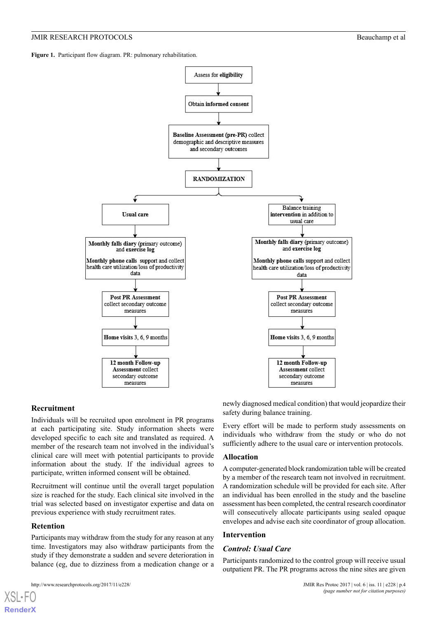<span id="page-3-0"></span>Figure 1. Participant flow diagram. PR: pulmonary rehabilitation.



#### **Recruitment**

Individuals will be recruited upon enrolment in PR programs at each participating site. Study information sheets were developed specific to each site and translated as required. A member of the research team not involved in the individual's clinical care will meet with potential participants to provide information about the study. If the individual agrees to participate, written informed consent will be obtained.

Recruitment will continue until the overall target population size is reached for the study. Each clinical site involved in the trial was selected based on investigator expertise and data on previous experience with study recruitment rates.

#### **Retention**

[XSL](http://www.w3.org/Style/XSL)•FO **[RenderX](http://www.renderx.com/)**

Participants may withdraw from the study for any reason at any time. Investigators may also withdraw participants from the study if they demonstrate a sudden and severe deterioration in balance (eg, due to dizziness from a medication change or a

newly diagnosed medical condition) that would jeopardize their safety during balance training.

Every effort will be made to perform study assessments on individuals who withdraw from the study or who do not sufficiently adhere to the usual care or intervention protocols.

#### **Allocation**

A computer-generated block randomization table will be created by a member of the research team not involved in recruitment. A randomization schedule will be provided for each site. After an individual has been enrolled in the study and the baseline assessment has been completed, the central research coordinator will consecutively allocate participants using sealed opaque envelopes and advise each site coordinator of group allocation.

#### **Intervention**

#### *Control: Usual Care*

Participants randomized to the control group will receive usual outpatient PR. The PR programs across the nine sites are given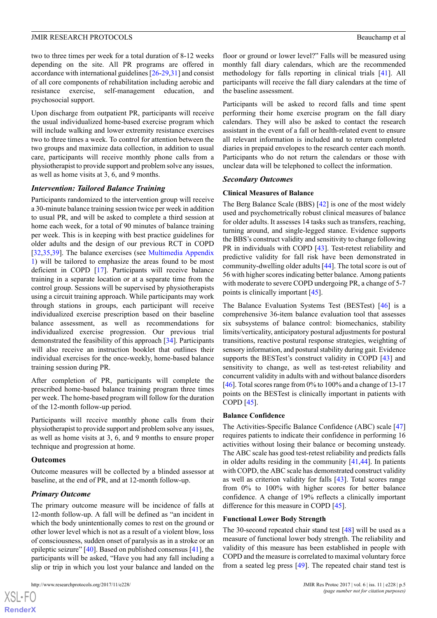two to three times per week for a total duration of 8-12 weeks depending on the site. All PR programs are offered in accordance with international guidelines [[26-](#page-8-7)[29](#page-8-8)[,31](#page-8-9)] and consist of all core components of rehabilitation including aerobic and resistance exercise, self-management education, and psychosocial support.

Upon discharge from outpatient PR, participants will receive the usual individualized home-based exercise program which will include walking and lower extremity resistance exercises two to three times a week. To control for attention between the two groups and maximize data collection, in addition to usual care, participants will receive monthly phone calls from a physiotherapist to provide support and problem solve any issues, as well as home visits at 3, 6, and 9 months.

# *Intervention: Tailored Balance Training*

Participants randomized to the intervention group will receive a 30-minute balance training session twice per week in addition to usual PR, and will be asked to complete a third session at home each week, for a total of 90 minutes of balance training per week. This is in keeping with best practice guidelines for older adults and the design of our previous RCT in COPD [[32](#page-8-10)[,35](#page-8-13),[39\]](#page-9-0). The balance exercises (see [Multimedia Appendix](#page-7-16) [1\)](#page-7-16) will be tailored to emphasize the areas found to be most deficient in COPD [[17\]](#page-7-5). Participants will receive balance training in a separate location or at a separate time from the control group. Sessions will be supervised by physiotherapists using a circuit training approach. While participants may work through stations in groups, each participant will receive individualized exercise prescription based on their baseline balance assessment, as well as recommendations for individualized exercise progression. Our previous trial demonstrated the feasibility of this approach [\[34](#page-8-12)]. Participants will also receive an instruction booklet that outlines their individual exercises for the once-weekly, home-based balance training session during PR.

After completion of PR, participants will complete the prescribed home-based balance training program three times per week. The home-based program will follow for the duration of the 12-month follow-up period.

Participants will receive monthly phone calls from their physiotherapist to provide support and problem solve any issues, as well as home visits at 3, 6, and 9 months to ensure proper technique and progression at home.

#### **Outcomes**

 $XS$  $\cdot$ FC **[RenderX](http://www.renderx.com/)**

Outcome measures will be collected by a blinded assessor at baseline, at the end of PR, and at 12-month follow-up.

# *Primary Outcome*

The primary outcome measure will be incidence of falls at 12-month follow-up. A fall will be defined as "an incident in which the body unintentionally comes to rest on the ground or other lower level which is not as a result of a violent blow, loss of consciousness, sudden onset of paralysis as in a stroke or an epileptic seizure" [\[40](#page-9-1)]. Based on published consensus [\[41](#page-9-2)], the participants will be asked, "Have you had any fall including a slip or trip in which you lost your balance and landed on the

floor or ground or lower level?" Falls will be measured using monthly fall diary calendars, which are the recommended methodology for falls reporting in clinical trials [[41\]](#page-9-2). All participants will receive the fall diary calendars at the time of the baseline assessment.

Participants will be asked to record falls and time spent performing their home exercise program on the fall diary calendars. They will also be asked to contact the research assistant in the event of a fall or health-related event to ensure all relevant information is included and to return completed diaries in prepaid envelopes to the research center each month. Participants who do not return the calendars or those with unclear data will be telephoned to collect the information.

#### *Secondary Outcomes*

# **Clinical Measures of Balance**

The Berg Balance Scale (BBS) [[42\]](#page-9-3) is one of the most widely used and psychometrically robust clinical measures of balance for older adults. It assesses 14 tasks such as transfers, reaching, turning around, and single-legged stance. Evidence supports the BBS's construct validity and sensitivity to change following PR in individuals with COPD [\[43](#page-9-4)]. Test-retest reliability and predictive validity for fall risk have been demonstrated in community-dwelling older adults [[44\]](#page-9-5). The total score is out of 56 with higher scores indicating better balance. Among patients with moderate to severe COPD undergoing PR, a change of 5-7 points is clinically important [\[45](#page-9-6)].

The Balance Evaluation Systems Test (BESTest) [\[46](#page-9-7)] is a comprehensive 36-item balance evaluation tool that assesses six subsystems of balance control: biomechanics, stability limits/verticality, anticipatory postural adjustments for postural transitions, reactive postural response strategies, weighting of sensory information, and postural stability during gait. Evidence supports the BESTest's construct validity in COPD [\[43](#page-9-4)] and sensitivity to change, as well as test-retest reliability and concurrent validity in adults with and without balance disorders [[46\]](#page-9-7). Total scores range from 0% to 100% and a change of 13-17 points on the BESTest is clinically important in patients with COPD [\[45](#page-9-6)].

#### **Balance Confidence**

The Activities-Specific Balance Confidence (ABC) scale [\[47](#page-9-8)] requires patients to indicate their confidence in performing 16 activities without losing their balance or becoming unsteady. The ABC scale has good test-retest reliability and predicts falls in older adults residing in the community [[41](#page-9-2)[,44](#page-9-5)]. In patients with COPD, the ABC scale has demonstrated construct validity as well as criterion validity for falls [[43\]](#page-9-4). Total scores range from 0% to 100% with higher scores for better balance confidence. A change of 19% reflects a clinically important difference for this measure in COPD [\[45](#page-9-6)].

#### **Functional Lower Body Strength**

The 30-second repeated chair stand test [\[48](#page-9-9)] will be used as a measure of functional lower body strength. The reliability and validity of this measure has been established in people with COPD and the measure is correlated to maximal voluntary force from a seated leg press [[49\]](#page-9-10). The repeated chair stand test is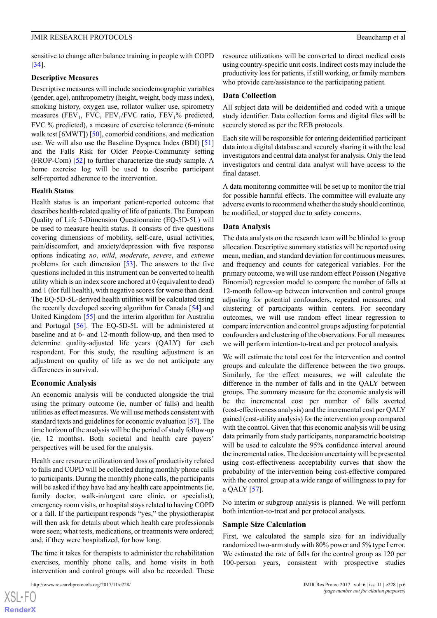sensitive to change after balance training in people with COPD [[34\]](#page-8-12).

#### **Descriptive Measures**

Descriptive measures will include sociodemographic variables (gender, age), anthropometry (height, weight, body mass index), smoking history, oxygen use, rollator walker use, spirometry measures (FEV<sub>1</sub>, FVC, FEV<sub>1</sub>/FVC ratio, FEV<sub>1</sub>% predicted, FVC % predicted), a measure of exercise tolerance (6-minute walk test [6MWT]) [\[50](#page-9-11)], comorbid conditions, and medication use. We will also use the Baseline Dyspnea Index (BDI) [\[51](#page-9-12)] and the Falls Risk for Older People-Community setting (FROP-Com) [\[52](#page-9-13)] to further characterize the study sample. A home exercise log will be used to describe participant self-reported adherence to the intervention.

#### **Health Status**

Health status is an important patient-reported outcome that describes health-related quality of life of patients. The European Quality of Life 5-Dimension Questionnaire (EQ-5D-5L) will be used to measure health status. It consists of five questions covering dimensions of mobility, self-care, usual activities, pain/discomfort, and anxiety/depression with five response options indicating *no*, *mild*, *moderate*, *severe*, and *extreme* problems for each dimension  $[53]$  $[53]$ . The answers to the five questions included in this instrument can be converted to health utility which is an index score anchored at 0 (equivalent to dead) and 1 (for full health), with negative scores for worse than dead. The EQ-5D-5L-derived health utilities will be calculated using the recently developed scoring algorithm for Canada [\[54](#page-9-15)] and United Kingdom [\[55](#page-9-16)] and the interim algorithm for Australia and Portugal [[56\]](#page-9-17). The EQ-5D-5L will be administered at baseline and at 6- and 12-month follow-up, and then used to determine quality-adjusted life years (QALY) for each respondent. For this study, the resulting adjustment is an adjustment on quality of life as we do not anticipate any differences in survival.

#### **Economic Analysis**

An economic analysis will be conducted alongside the trial using the primary outcome (ie, number of falls) and health utilities as effect measures. We will use methods consistent with standard texts and guidelines for economic evaluation [\[57](#page-9-18)]. The time horizon of the analysis will be the period of study follow-up (ie, 12 months). Both societal and health care payers' perspectives will be used for the analysis.

Health care resource utilization and loss of productivity related to falls and COPD will be collected during monthly phone calls to participants. During the monthly phone calls, the participants will be asked if they have had any health care appointments (ie, family doctor, walk-in/urgent care clinic, or specialist), emergency room visits, or hospital stays related to having COPD or a fall. If the participant responds "yes," the physiotherapist will then ask for details about which health care professionals were seen; what tests, medications, or treatments were ordered; and, if they were hospitalized, for how long.

The time it takes for therapists to administer the rehabilitation exercises, monthly phone calls, and home visits in both intervention and control groups will also be recorded. These

http://www.researchprotocols.org/2017/11/e228/ JMIR Res Protoc 2017 | vol. 6 | iss. 11 | e228 | p.6

resource utilizations will be converted to direct medical costs using country-specific unit costs. Indirect costs may include the productivity loss for patients, if still working, or family members who provide care/assistance to the participating patient.

#### **Data Collection**

All subject data will be deidentified and coded with a unique study identifier. Data collection forms and digital files will be securely stored as per the REB protocols.

Each site will be responsible for entering deidentified participant data into a digital database and securely sharing it with the lead investigators and central data analyst for analysis. Only the lead investigators and central data analyst will have access to the final dataset.

A data monitoring committee will be set up to monitor the trial for possible harmful effects. The committee will evaluate any adverse events to recommend whether the study should continue, be modified, or stopped due to safety concerns.

#### **Data Analysis**

The data analysts on the research team will be blinded to group allocation. Descriptive summary statistics will be reported using mean, median, and standard deviation for continuous measures, and frequency and counts for categorical variables. For the primary outcome, we will use random effect Poisson (Negative Binomial) regression model to compare the number of falls at 12-month follow-up between intervention and control groups adjusting for potential confounders, repeated measures, and clustering of participants within centers. For secondary outcomes, we will use random effect linear regression to compare intervention and control groups adjusting for potential confounders and clustering of the observations. For all measures, we will perform intention-to-treat and per protocol analysis.

We will estimate the total cost for the intervention and control groups and calculate the difference between the two groups. Similarly, for the effect measures, we will calculate the difference in the number of falls and in the QALY between groups. The summary measure for the economic analysis will be the incremental cost per number of falls averted (cost-effectiveness analysis) and the incremental cost per QALY gained (cost-utility analysis) for the intervention group compared with the control. Given that this economic analysis will be using data primarily from study participants, nonparametric bootstrap will be used to calculate the 95% confidence interval around the incremental ratios. The decision uncertainty will be presented using cost-effectiveness acceptability curves that show the probability of the intervention being cost-effective compared with the control group at a wide range of willingness to pay for a QALY [\[57](#page-9-18)].

No interim or subgroup analysis is planned. We will perform both intention-to-treat and per protocol analyses.

#### **Sample Size Calculation**

First, we calculated the sample size for an individually randomized two-arm study with 80% power and 5% type I error. We estimated the rate of falls for the control group as 120 per 100-person years, consistent with prospective studies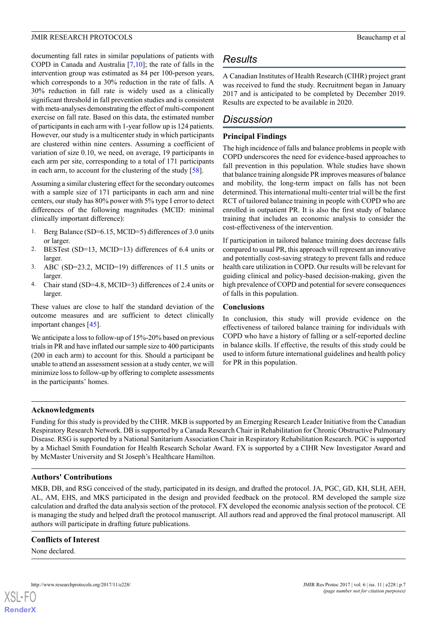documenting fall rates in similar populations of patients with COPD in Canada and Australia [[7](#page-7-11)[,10](#page-7-12)]; the rate of falls in the intervention group was estimated as 84 per 100-person years, which corresponds to a 30% reduction in the rate of falls. A 30% reduction in fall rate is widely used as a clinically significant threshold in fall prevention studies and is consistent with meta-analyses demonstrating the effect of multi-component exercise on fall rate. Based on this data, the estimated number of participants in each arm with 1-year follow up is 124 patients. However, our study is a multicenter study in which participants are clustered within nine centers. Assuming a coefficient of variation of size 0.10, we need, on average, 19 participants in each arm per site, corresponding to a total of 171 participants in each arm, to account for the clustering of the study [[58\]](#page-9-19).

Assuming a similar clustering effect for the secondary outcomes with a sample size of 171 participants in each arm and nine centers, our study has 80% power with 5% type I error to detect differences of the following magnitudes (MCID: minimal clinically important difference):

- 1. Berg Balance (SD=6.15, MCID=5) differences of 3.0 units or larger.
- 2. BESTest (SD=13, MCID=13) differences of 6.4 units or larger.
- 3. ABC (SD=23.2, MCID=19) differences of 11.5 units or larger.
- 4. Chair stand (SD=4.8, MCID=3) differences of 2.4 units or larger.

These values are close to half the standard deviation of the outcome measures and are sufficient to detect clinically important changes [[45\]](#page-9-6).

We anticipate a loss to follow-up of 15%-20% based on previous trials in PR and have inflated our sample size to 400 participants (200 in each arm) to account for this. Should a participant be unable to attend an assessment session at a study center, we will minimize loss to follow-up by offering to complete assessments in the participants' homes.

# *Results*

A Canadian Institutes of Health Research (CIHR) project grant was received to fund the study. Recruitment began in January 2017 and is anticipated to be completed by December 2019. Results are expected to be available in 2020.

# *Discussion*

# **Principal Findings**

The high incidence of falls and balance problems in people with COPD underscores the need for evidence-based approaches to fall prevention in this population. While studies have shown that balance training alongside PR improves measures of balance and mobility, the long-term impact on falls has not been determined. This international multi-center trial will be the first RCT of tailored balance training in people with COPD who are enrolled in outpatient PR. It is also the first study of balance training that includes an economic analysis to consider the cost-effectiveness of the intervention.

If participation in tailored balance training does decrease falls compared to usual PR, this approach will represent an innovative and potentially cost-saving strategy to prevent falls and reduce health care utilization in COPD. Our results will be relevant for guiding clinical and policy-based decision-making, given the high prevalence of COPD and potential for severe consequences of falls in this population.

# **Conclusions**

In conclusion, this study will provide evidence on the effectiveness of tailored balance training for individuals with COPD who have a history of falling or a self-reported decline in balance skills. If effective, the results of this study could be used to inform future international guidelines and health policy for PR in this population.

# **Acknowledgments**

Funding for this study is provided by the CIHR. MKB is supported by an Emerging Research Leader Initiative from the Canadian Respiratory Research Network. DB is supported by a Canada Research Chair in Rehabilitation for Chronic Obstructive Pulmonary Disease. RSG is supported by a National Sanitarium Association Chair in Respiratory Rehabilitation Research. PGC is supported by a Michael Smith Foundation for Health Research Scholar Award. FX is supported by a CIHR New Investigator Award and by McMaster University and St Joseph's Healthcare Hamilton.

# **Authors' Contributions**

MKB, DB, and RSG conceived of the study, participated in its design, and drafted the protocol. JA, PGC, GD, KH, SLH, AEH, AL, AM, EHS, and MKS participated in the design and provided feedback on the protocol. RM developed the sample size calculation and drafted the data analysis section of the protocol. FX developed the economic analysis section of the protocol. CE is managing the study and helped draft the protocol manuscript. All authors read and approved the final protocol manuscript. All authors will participate in drafting future publications.

#### **Conflicts of Interest**

None declared.

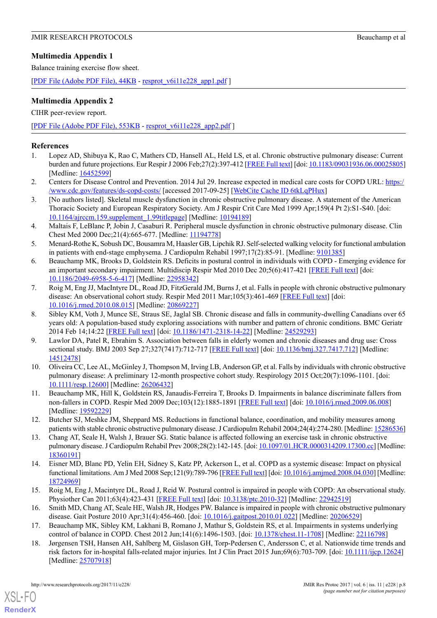# <span id="page-7-16"></span>**Multimedia Appendix 1**

Balance training exercise flow sheet.

[PDF File (Adobe PDF File),  $44KB$  - [resprot\\_v6i11e228\\_app1.pdf](https://www.researchprotocols.org/article/downloadSuppFile/8178/60801) ]

# **Multimedia Appendix 2**

CIHR peer-review report.

[[PDF File \(Adobe PDF File\), 553KB](https://www.researchprotocols.org/article/downloadSuppFile/8178/54543) - [resprot\\_v6i11e228\\_app2.pdf](https://www.researchprotocols.org/article/downloadSuppFile/8178/54543) ]

# <span id="page-7-0"></span>**References**

- <span id="page-7-1"></span>1. Lopez AD, Shibuya K, Rao C, Mathers CD, Hansell AL, Held LS, et al. Chronic obstructive pulmonary disease: Current burden and future projections. Eur Respir J 2006 Feb;27(2):397-412 [[FREE Full text](http://erj.ersjournals.com/cgi/pmidlookup?view=long&pmid=16452599)] [doi: [10.1183/09031936.06.00025805\]](http://dx.doi.org/10.1183/09031936.06.00025805) [Medline: [16452599](http://www.ncbi.nlm.nih.gov/entrez/query.fcgi?cmd=Retrieve&db=PubMed&list_uids=16452599&dopt=Abstract)]
- <span id="page-7-2"></span>2. Centers for Disease Control and Prevention. 2014 Jul 29. Increase expected in medical care costs for COPD URL: [https:/](https://www.cdc.gov/features/ds-copd-costs/) [/www.cdc.gov/features/ds-copd-costs/](https://www.cdc.gov/features/ds-copd-costs/) [accessed 2017-09-25] [\[WebCite Cache ID 6tkLqPHux](http://www.webcitation.org/6tkLqPHux)]
- 3. [No authors listed]. Skeletal muscle dysfunction in chronic obstructive pulmonary disease. A statement of the American Thoracic Society and European Respiratory Society. Am J Respir Crit Care Med 1999 Apr;159(4 Pt 2):S1-S40. [doi: [10.1164/ajrccm.159.supplement\\_1.99titlepage\]](http://dx.doi.org/10.1164/ajrccm.159.supplement_1.99titlepage) [Medline: [10194189](http://www.ncbi.nlm.nih.gov/entrez/query.fcgi?cmd=Retrieve&db=PubMed&list_uids=10194189&dopt=Abstract)]
- <span id="page-7-3"></span>4. Maltais F, LeBlanc P, Jobin J, Casaburi R. Peripheral muscle dysfunction in chronic obstructive pulmonary disease. Clin Chest Med 2000 Dec;21(4):665-677. [Medline: [11194778\]](http://www.ncbi.nlm.nih.gov/entrez/query.fcgi?cmd=Retrieve&db=PubMed&list_uids=11194778&dopt=Abstract)
- <span id="page-7-4"></span>5. Menard-Rothe K, Sobush DC, Bousamra M, Haasler GB, Lipchik RJ. Self-selected walking velocity for functional ambulation in patients with end-stage emphysema. J Cardiopulm Rehabil 1997;17(2):85-91. [Medline: [9101385\]](http://www.ncbi.nlm.nih.gov/entrez/query.fcgi?cmd=Retrieve&db=PubMed&list_uids=9101385&dopt=Abstract)
- <span id="page-7-11"></span>6. Beauchamp MK, Brooks D, Goldstein RS. Deficits in postural control in individuals with COPD - Emerging evidence for an important secondary impairment. Multidiscip Respir Med 2010 Dec 20;5(6):417-421 [\[FREE Full text\]](https://mrmjournal.biomedcentral.com/articles/10.1186/2049-6958-5-6-417) [doi: [10.1186/2049-6958-5-6-417\]](http://dx.doi.org/10.1186/2049-6958-5-6-417) [Medline: [22958342\]](http://www.ncbi.nlm.nih.gov/entrez/query.fcgi?cmd=Retrieve&db=PubMed&list_uids=22958342&dopt=Abstract)
- <span id="page-7-14"></span>7. Roig M, Eng JJ, MacIntyre DL, Road JD, FitzGerald JM, Burns J, et al. Falls in people with chronic obstructive pulmonary disease: An observational cohort study. Respir Med 2011 Mar;105(3):461-469 [\[FREE Full text\]](https://linkinghub.elsevier.com/retrieve/pii/S0954-6111(10)00386-0) [doi: [10.1016/j.rmed.2010.08.015](http://dx.doi.org/10.1016/j.rmed.2010.08.015)] [Medline: [20869227\]](http://www.ncbi.nlm.nih.gov/entrez/query.fcgi?cmd=Retrieve&db=PubMed&list_uids=20869227&dopt=Abstract)
- <span id="page-7-13"></span>8. Sibley KM, Voth J, Munce SE, Straus SE, Jaglal SB. Chronic disease and falls in community-dwelling Canadians over 65 years old: A population-based study exploring associations with number and pattern of chronic conditions. BMC Geriatr 2014 Feb 14;14:22 [[FREE Full text](https://bmcgeriatr.biomedcentral.com/articles/10.1186/1471-2318-14-22)] [doi: [10.1186/1471-2318-14-22](http://dx.doi.org/10.1186/1471-2318-14-22)] [Medline: [24529293](http://www.ncbi.nlm.nih.gov/entrez/query.fcgi?cmd=Retrieve&db=PubMed&list_uids=24529293&dopt=Abstract)]
- <span id="page-7-12"></span>9. Lawlor DA, Patel R, Ebrahim S. Association between falls in elderly women and chronic diseases and drug use: Cross sectional study. BMJ 2003 Sep 27;327(7417):712-717 [[FREE Full text](http://europepmc.org/abstract/MED/14512478)] [doi: [10.1136/bmj.327.7417.712](http://dx.doi.org/10.1136/bmj.327.7417.712)] [Medline: [14512478](http://www.ncbi.nlm.nih.gov/entrez/query.fcgi?cmd=Retrieve&db=PubMed&list_uids=14512478&dopt=Abstract)]
- <span id="page-7-8"></span><span id="page-7-7"></span>10. Oliveira CC, Lee AL, McGinley J, Thompson M, Irving LB, Anderson GP, et al. Falls by individuals with chronic obstructive pulmonary disease: A preliminary 12-month prospective cohort study. Respirology 2015 Oct;20(7):1096-1101. [doi: [10.1111/resp.12600\]](http://dx.doi.org/10.1111/resp.12600) [Medline: [26206432](http://www.ncbi.nlm.nih.gov/entrez/query.fcgi?cmd=Retrieve&db=PubMed&list_uids=26206432&dopt=Abstract)]
- 11. Beauchamp MK, Hill K, Goldstein RS, Janaudis-Ferreira T, Brooks D. Impairments in balance discriminate fallers from non-fallers in COPD. Respir Med 2009 Dec;103(12):1885-1891 [[FREE Full text](https://linkinghub.elsevier.com/retrieve/pii/S0954-6111(09)00209-1)] [doi: [10.1016/j.rmed.2009.06.008\]](http://dx.doi.org/10.1016/j.rmed.2009.06.008) [Medline: [19592229](http://www.ncbi.nlm.nih.gov/entrez/query.fcgi?cmd=Retrieve&db=PubMed&list_uids=19592229&dopt=Abstract)]
- <span id="page-7-9"></span>12. Butcher SJ, Meshke JM, Sheppard MS. Reductions in functional balance, coordination, and mobility measures among patients with stable chronic obstructive pulmonary disease. J Cardiopulm Rehabil 2004;24(4):274-280. [Medline: [15286536\]](http://www.ncbi.nlm.nih.gov/entrez/query.fcgi?cmd=Retrieve&db=PubMed&list_uids=15286536&dopt=Abstract)
- <span id="page-7-15"></span>13. Chang AT, Seale H, Walsh J, Brauer SG. Static balance is affected following an exercise task in chronic obstructive pulmonary disease. J Cardiopulm Rehabil Prev 2008;28(2):142-145. [doi: [10.1097/01.HCR.0000314209.17300.cc](http://dx.doi.org/10.1097/01.HCR.0000314209.17300.cc)] [Medline: [18360191](http://www.ncbi.nlm.nih.gov/entrez/query.fcgi?cmd=Retrieve&db=PubMed&list_uids=18360191&dopt=Abstract)]
- <span id="page-7-10"></span><span id="page-7-5"></span>14. Eisner MD, Blanc PD, Yelin EH, Sidney S, Katz PP, Ackerson L, et al. COPD as a systemic disease: Impact on physical functional limitations. Am J Med 2008 Sep;121(9):789-796 [\[FREE Full text\]](http://europepmc.org/abstract/MED/18724969) [doi: [10.1016/j.amjmed.2008.04.030\]](http://dx.doi.org/10.1016/j.amjmed.2008.04.030) [Medline: [18724969](http://www.ncbi.nlm.nih.gov/entrez/query.fcgi?cmd=Retrieve&db=PubMed&list_uids=18724969&dopt=Abstract)]
- <span id="page-7-6"></span>15. Roig M, Eng J, Macintyre DL, Road J, Reid W. Postural control is impaired in people with COPD: An observational study. Physiother Can 2011;63(4):423-431 [\[FREE Full text\]](http://europepmc.org/abstract/MED/22942519) [doi: [10.3138/ptc.2010-32](http://dx.doi.org/10.3138/ptc.2010-32)] [Medline: [22942519](http://www.ncbi.nlm.nih.gov/entrez/query.fcgi?cmd=Retrieve&db=PubMed&list_uids=22942519&dopt=Abstract)]
- 16. Smith MD, Chang AT, Seale HE, Walsh JR, Hodges PW. Balance is impaired in people with chronic obstructive pulmonary disease. Gait Posture 2010 Apr;31(4):456-460. [doi: [10.1016/j.gaitpost.2010.01.022](http://dx.doi.org/10.1016/j.gaitpost.2010.01.022)] [Medline: [20206529\]](http://www.ncbi.nlm.nih.gov/entrez/query.fcgi?cmd=Retrieve&db=PubMed&list_uids=20206529&dopt=Abstract)
- 17. Beauchamp MK, Sibley KM, Lakhani B, Romano J, Mathur S, Goldstein RS, et al. Impairments in systems underlying control of balance in COPD. Chest 2012 Jun;141(6):1496-1503. [doi: [10.1378/chest.11-1708\]](http://dx.doi.org/10.1378/chest.11-1708) [Medline: [22116798](http://www.ncbi.nlm.nih.gov/entrez/query.fcgi?cmd=Retrieve&db=PubMed&list_uids=22116798&dopt=Abstract)]
- 18. Jørgensen TSH, Hansen AH, Sahlberg M, Gislason GH, Torp-Pedersen C, Andersson C, et al. Nationwide time trends and risk factors for in-hospital falls-related major injuries. Int J Clin Pract 2015 Jun;69(6):703-709. [doi: [10.1111/ijcp.12624\]](http://dx.doi.org/10.1111/ijcp.12624) [Medline: [25707918](http://www.ncbi.nlm.nih.gov/entrez/query.fcgi?cmd=Retrieve&db=PubMed&list_uids=25707918&dopt=Abstract)]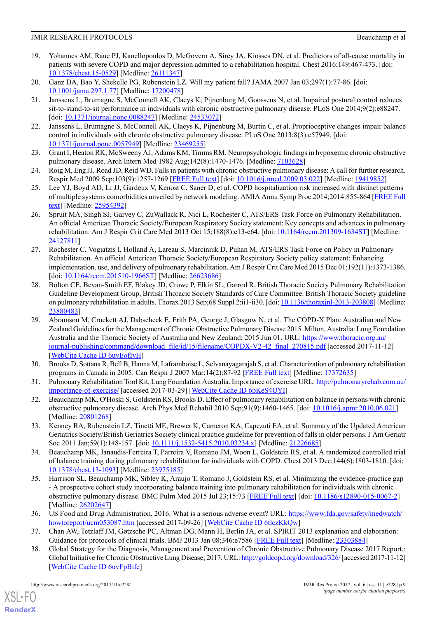- <span id="page-8-0"></span>19. Yohannes AM, Raue PJ, Kanellopoulos D, McGovern A, Sirey JA, Kiosses DN, et al. Predictors of all-cause mortality in patients with severe COPD and major depression admitted to a rehabilitation hospital. Chest 2016;149:467-473. [doi: [10.1378/chest.15-0529](http://dx.doi.org/10.1378/chest.15-0529)] [Medline: [26111347](http://www.ncbi.nlm.nih.gov/entrez/query.fcgi?cmd=Retrieve&db=PubMed&list_uids=26111347&dopt=Abstract)]
- <span id="page-8-2"></span><span id="page-8-1"></span>20. Ganz DA, Bao Y, Shekelle PG, Rubenstein LZ. Will my patient fall? JAMA 2007 Jan 03;297(1):77-86. [doi: [10.1001/jama.297.1.77\]](http://dx.doi.org/10.1001/jama.297.1.77) [Medline: [17200478](http://www.ncbi.nlm.nih.gov/entrez/query.fcgi?cmd=Retrieve&db=PubMed&list_uids=17200478&dopt=Abstract)]
- 21. Janssens L, Brumagne S, McConnell AK, Claeys K, Pijnenburg M, Goossens N, et al. Impaired postural control reduces sit-to-stand-to-sit performance in individuals with chronic obstructive pulmonary disease. PLoS One 2014;9(2):e88247. [doi: [10.1371/journal.pone.0088247\]](http://dx.doi.org/10.1371/journal.pone.0088247) [Medline: [24533072\]](http://www.ncbi.nlm.nih.gov/entrez/query.fcgi?cmd=Retrieve&db=PubMed&list_uids=24533072&dopt=Abstract)
- <span id="page-8-4"></span><span id="page-8-3"></span>22. Janssens L, Brumagne S, McConnell AK, Claeys K, Pijnenburg M, Burtin C, et al. Proprioceptive changes impair balance control in individuals with chronic obstructive pulmonary disease. PLoS One 2013;8(3):e57949. [doi: [10.1371/journal.pone.0057949\]](http://dx.doi.org/10.1371/journal.pone.0057949) [Medline: [23469255](http://www.ncbi.nlm.nih.gov/entrez/query.fcgi?cmd=Retrieve&db=PubMed&list_uids=23469255&dopt=Abstract)]
- <span id="page-8-5"></span>23. Grant I, Heaton RK, McSweeny AJ, Adams KM, Timms RM. Neuropsychologic findings in hypoxemic chronic obstructive pulmonary disease. Arch Intern Med 1982 Aug;142(8):1470-1476. [Medline: [7103628\]](http://www.ncbi.nlm.nih.gov/entrez/query.fcgi?cmd=Retrieve&db=PubMed&list_uids=7103628&dopt=Abstract)
- <span id="page-8-6"></span>24. Roig M, Eng JJ, Road JD, Reid WD. Falls in patients with chronic obstructive pulmonary disease: A call for further research. Respir Med 2009 Sep;103(9):1257-1269 [[FREE Full text](https://linkinghub.elsevier.com/retrieve/pii/S0954-6111(09)00104-8)] [doi: [10.1016/j.rmed.2009.03.022](http://dx.doi.org/10.1016/j.rmed.2009.03.022)] [Medline: [19419852\]](http://www.ncbi.nlm.nih.gov/entrez/query.fcgi?cmd=Retrieve&db=PubMed&list_uids=19419852&dopt=Abstract)
- <span id="page-8-7"></span>25. Lee YJ, Boyd AD, Li JJ, Gardeux V, Kenost C, Saner D, et al. COPD hospitalization risk increased with distinct patterns of multiple systems comorbidities unveiled by network modeling. AMIA Annu Symp Proc 2014;2014:855-864 [\[FREE Full](http://europepmc.org/abstract/MED/25954392) [text\]](http://europepmc.org/abstract/MED/25954392) [Medline: [25954392](http://www.ncbi.nlm.nih.gov/entrez/query.fcgi?cmd=Retrieve&db=PubMed&list_uids=25954392&dopt=Abstract)]
- 26. Spruit MA, Singh SJ, Garvey C, ZuWallack R, Nici L, Rochester C, ATS/ERS Task Force on Pulmonary Rehabilitation. An official American Thoracic Society/European Respiratory Society statement: Key concepts and advances in pulmonary rehabilitation. Am J Respir Crit Care Med 2013 Oct 15;188(8):e13-e64. [doi: [10.1164/rccm.201309-1634ST\]](http://dx.doi.org/10.1164/rccm.201309-1634ST) [Medline: [24127811](http://www.ncbi.nlm.nih.gov/entrez/query.fcgi?cmd=Retrieve&db=PubMed&list_uids=24127811&dopt=Abstract)]
- 27. Rochester C, Vogiatzis I, Holland A, Lareau S, Marciniuk D, Puhan M, ATS/ERS Task Force on Policy in Pulmonary Rehabilitation. An official American Thoracic Society/European Respiratory Society policy statement: Enhancing implementation, use, and delivery of pulmonary rehabilitation. Am J Respir Crit Care Med 2015 Dec 01;192(11):1373-1386. [doi: [10.1164/rccm.201510-1966ST](http://dx.doi.org/10.1164/rccm.201510-1966ST)] [Medline: [26623686\]](http://www.ncbi.nlm.nih.gov/entrez/query.fcgi?cmd=Retrieve&db=PubMed&list_uids=26623686&dopt=Abstract)
- <span id="page-8-8"></span>28. Bolton CE, Bevan-Smith EF, Blakey JD, Crowe P, Elkin SL, Garrod R, British Thoracic Society Pulmonary Rehabilitation Guideline Development Group, British Thoracic Society Standards of Care Committee. British Thoracic Society guideline on pulmonary rehabilitation in adults. Thorax 2013 Sep;68 Suppl 2:ii1-ii30. [doi: [10.1136/thoraxjnl-2013-203808\]](http://dx.doi.org/10.1136/thoraxjnl-2013-203808) [Medline: [23880483](http://www.ncbi.nlm.nih.gov/entrez/query.fcgi?cmd=Retrieve&db=PubMed&list_uids=23880483&dopt=Abstract)]
- 29. Abramson M, Crockett AJ, Dabscheck E, Frith PA, George J, Glasgow N, et al. The COPD-X Plan: Australian and New Zealand Guidelines for the Management of Chronic Obstructive Pulmonary Disease 2015. Milton, Australia: Lung Foundation Australia and the Thoracic Society of Australia and New Zealand; 2015 Jun 01. URL: [https://www.thoracic.org.au/](https://www.thoracic.org.au/journal-publishing/command/download_file/id/15/filename/COPDX-V2-42_final_270815.pdf) [journal-publishing/command/download\\_file/id/15/filename/COPDX-V2-42\\_final\\_270815.pdf](https://www.thoracic.org.au/journal-publishing/command/download_file/id/15/filename/COPDX-V2-42_final_270815.pdf) [accessed 2017-11-12] [[WebCite Cache ID 6uvEofIyH](http://www.webcitation.org/6uvEofIyH)]
- <span id="page-8-10"></span><span id="page-8-9"></span>30. Brooks D, Sottana R, Bell B, Hanna M, Laframboise L, Selvanayagarajah S, et al. Characterization of pulmonary rehabilitation programs in Canada in 2005. Can Respir J 2007 Mar;14(2):87-92 [[FREE Full text](http://europepmc.org/abstract/MED/17372635)] [Medline: [17372635](http://www.ncbi.nlm.nih.gov/entrez/query.fcgi?cmd=Retrieve&db=PubMed&list_uids=17372635&dopt=Abstract)]
- <span id="page-8-11"></span>31. Pulmonary Rehabilitation Tool Kit, Lung Foundation Australia. Importance of exercise URL: [http://pulmonaryrehab.com.au/](http://pulmonaryrehab.com.au/importance-of-exercise/) [importance-of-exercise/](http://pulmonaryrehab.com.au/importance-of-exercise/) [accessed 2017-03-29] [[WebCite Cache ID 6pKeS4UYI\]](http://www.webcitation.org/6pKeS4UYI)
- <span id="page-8-12"></span>32. Beauchamp MK, O'Hoski S, Goldstein RS, Brooks D. Effect of pulmonary rehabilitation on balance in persons with chronic obstructive pulmonary disease. Arch Phys Med Rehabil 2010 Sep;91(9):1460-1465. [doi: [10.1016/j.apmr.2010.06.021](http://dx.doi.org/10.1016/j.apmr.2010.06.021)] [Medline: [20801268](http://www.ncbi.nlm.nih.gov/entrez/query.fcgi?cmd=Retrieve&db=PubMed&list_uids=20801268&dopt=Abstract)]
- <span id="page-8-13"></span>33. Kenney RA, Rubenstein LZ, Tinetti ME, Brewer K, Cameron KA, Capezuti EA, et al. Summary of the Updated American Geriatrics Society/British Geriatrics Society clinical practice guideline for prevention of falls in older persons. J Am Geriatr Soc 2011 Jan;59(1):148-157. [doi: [10.1111/j.1532-5415.2010.03234.x\]](http://dx.doi.org/10.1111/j.1532-5415.2010.03234.x) [Medline: [21226685](http://www.ncbi.nlm.nih.gov/entrez/query.fcgi?cmd=Retrieve&db=PubMed&list_uids=21226685&dopt=Abstract)]
- <span id="page-8-14"></span>34. Beauchamp MK, Janaudis-Ferreira T, Parreira V, Romano JM, Woon L, Goldstein RS, et al. A randomized controlled trial of balance training during pulmonary rehabilitation for individuals with COPD. Chest 2013 Dec;144(6):1803-1810. [doi: [10.1378/chest.13-1093](http://dx.doi.org/10.1378/chest.13-1093)] [Medline: [23975185\]](http://www.ncbi.nlm.nih.gov/entrez/query.fcgi?cmd=Retrieve&db=PubMed&list_uids=23975185&dopt=Abstract)
- <span id="page-8-16"></span><span id="page-8-15"></span>35. Harrison SL, Beauchamp MK, Sibley K, Araujo T, Romano J, Goldstein RS, et al. Minimizing the evidence-practice gap - A prospective cohort study incorporating balance training into pulmonary rehabilitation for individuals with chronic obstructive pulmonary disease. BMC Pulm Med 2015 Jul 23;15:73 [\[FREE Full text\]](https://bmcpulmmed.biomedcentral.com/articles/10.1186/s12890-015-0067-2) [doi: [10.1186/s12890-015-0067-2\]](http://dx.doi.org/10.1186/s12890-015-0067-2) [Medline: [26202647](http://www.ncbi.nlm.nih.gov/entrez/query.fcgi?cmd=Retrieve&db=PubMed&list_uids=26202647&dopt=Abstract)]
- 36. US Food and Drug Administration. 2016. What is a serious adverse event? URL: [https://www.fda.gov/safety/medwatch/](https://www.fda.gov/safety/medwatch/howtoreport/ucm053087.htm) [howtoreport/ucm053087.htm](https://www.fda.gov/safety/medwatch/howtoreport/ucm053087.htm) [accessed 2017-09-26] [\[WebCite Cache ID 6tlczKkQw](http://www.webcitation.org/6tlczKkQw)]
- 37. Chan AW, Tetzlaff JM, Gøtzsche PC, Altman DG, Mann H, Berlin JA, et al. SPIRIT 2013 explanation and elaboration: Guidance for protocols of clinical trials. BMJ 2013 Jan 08;346:e7586 [[FREE Full text](http://www.bmj.com/cgi/pmidlookup?view=long&pmid=23303884)] [Medline: [23303884](http://www.ncbi.nlm.nih.gov/entrez/query.fcgi?cmd=Retrieve&db=PubMed&list_uids=23303884&dopt=Abstract)]
- 38. Global Strategy for the Diagnosis, Management and Prevention of Chronic Obstructive Pulmonary Disease 2017 Report.: Global Initiative for Chronic Obstructive Lung Disease; 2017. URL:<http://goldcopd.org/download/326/> [accessed 2017-11-12] [[WebCite Cache ID 6uvFpBife](http://www.webcitation.org/6uvFpBife)]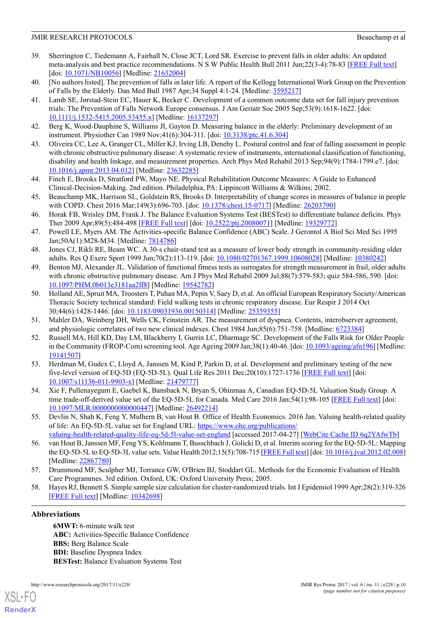- <span id="page-9-0"></span>39. Sherrington C, Tiedemann A, Fairhall N, Close JCT, Lord SR. Exercise to prevent falls in older adults: An updated meta-analysis and best practice recommendations. N S W Public Health Bull 2011 Jun;22(3-4):78-83 [[FREE Full text](https://dx.doi.org/10.1071/NB10056)] [doi: [10.1071/NB10056](http://dx.doi.org/10.1071/NB10056)] [Medline: [21632004\]](http://www.ncbi.nlm.nih.gov/entrez/query.fcgi?cmd=Retrieve&db=PubMed&list_uids=21632004&dopt=Abstract)
- <span id="page-9-2"></span><span id="page-9-1"></span>40. [No authors listed]. The prevention of falls in later life. A report of the Kellogg International Work Group on the Prevention of Falls by the Elderly. Dan Med Bull 1987 Apr;34 Suppl 4:1-24. [Medline: [3595217](http://www.ncbi.nlm.nih.gov/entrez/query.fcgi?cmd=Retrieve&db=PubMed&list_uids=3595217&dopt=Abstract)]
- 41. Lamb SE, Jørstad-Stein EC, Hauer K, Becker C. Development of a common outcome data set for fall injury prevention trials: The Prevention of Falls Network Europe consensus. J Am Geriatr Soc 2005 Sep;53(9):1618-1622. [doi: [10.1111/j.1532-5415.2005.53455.x\]](http://dx.doi.org/10.1111/j.1532-5415.2005.53455.x) [Medline: [16137297](http://www.ncbi.nlm.nih.gov/entrez/query.fcgi?cmd=Retrieve&db=PubMed&list_uids=16137297&dopt=Abstract)]
- <span id="page-9-4"></span><span id="page-9-3"></span>42. Berg K, Wood-Dauphine S, Williams JI, Gayton D. Measuring balance in the elderly: Preliminary development of an instrument. Physiother Can 1989 Nov;41(6):304-311. [doi: [10.3138/ptc.41.6.304](http://dx.doi.org/10.3138/ptc.41.6.304)]
- 43. Oliveira CC, Lee A, Granger CL, Miller KJ, Irving LB, Denehy L. Postural control and fear of falling assessment in people with chronic obstructive pulmonary disease: A systematic review of instruments, international classification of functioning, disability and health linkage, and measurement properties. Arch Phys Med Rehabil 2013 Sep;94(9):1784-1799.e7. [doi: [10.1016/j.apmr.2013.04.012\]](http://dx.doi.org/10.1016/j.apmr.2013.04.012) [Medline: [23632285](http://www.ncbi.nlm.nih.gov/entrez/query.fcgi?cmd=Retrieve&db=PubMed&list_uids=23632285&dopt=Abstract)]
- <span id="page-9-6"></span><span id="page-9-5"></span>44. Finch E, Brooks D, Stratford PW, Mayo NE. Physical Rehabilitation Outcome Measures: A Guide to Enhanced Clinical-Decision-Making. 2nd edition. Philadelphia, PA: Lippincott Williams & Wilkins; 2002.
- <span id="page-9-7"></span>45. Beauchamp MK, Harrison SL, Goldstein RS, Brooks D. Interpretability of change scores in measures of balance in people with COPD. Chest 2016 Mar;149(3):696-703. [doi: [10.1378/chest.15-0717](http://dx.doi.org/10.1378/chest.15-0717)] [Medline: [26203790](http://www.ncbi.nlm.nih.gov/entrez/query.fcgi?cmd=Retrieve&db=PubMed&list_uids=26203790&dopt=Abstract)]
- <span id="page-9-8"></span>46. Horak FB, Wrisley DM, Frank J. The Balance Evaluation Systems Test (BESTest) to differentiate balance deficits. Phys Ther 2009 Apr;89(5):484-498 [\[FREE Full text\]](http://europepmc.org/abstract/MED/19329772) [doi: [10.2522/ptj.20080071](http://dx.doi.org/10.2522/ptj.20080071)] [Medline: [19329772](http://www.ncbi.nlm.nih.gov/entrez/query.fcgi?cmd=Retrieve&db=PubMed&list_uids=19329772&dopt=Abstract)]
- <span id="page-9-9"></span>47. Powell LE, Myers AM. The Activities-specific Balance Confidence (ABC) Scale. J Gerontol A Biol Sci Med Sci 1995 Jan;50A(1):M28-M34. [Medline: [7814786](http://www.ncbi.nlm.nih.gov/entrez/query.fcgi?cmd=Retrieve&db=PubMed&list_uids=7814786&dopt=Abstract)]
- <span id="page-9-10"></span>48. Jones CJ, Rikli RE, Beam WC. A 30-s chair-stand test as a measure of lower body strength in community-residing older adults. Res Q Exerc Sport 1999 Jun;70(2):113-119. [doi: [10.1080/02701367.1999.10608028](http://dx.doi.org/10.1080/02701367.1999.10608028)] [Medline: [10380242](http://www.ncbi.nlm.nih.gov/entrez/query.fcgi?cmd=Retrieve&db=PubMed&list_uids=10380242&dopt=Abstract)]
- <span id="page-9-11"></span>49. Benton MJ, Alexander JL. Validation of functional fitness tests as surrogates for strength measurement in frail, older adults with chronic obstructive pulmonary disease. Am J Phys Med Rehabil 2009 Jul;88(7):579-583; quiz 584-586, 590. [doi: [10.1097/PHM.0b013e3181aa2ff8\]](http://dx.doi.org/10.1097/PHM.0b013e3181aa2ff8) [Medline: [19542782](http://www.ncbi.nlm.nih.gov/entrez/query.fcgi?cmd=Retrieve&db=PubMed&list_uids=19542782&dopt=Abstract)]
- <span id="page-9-13"></span><span id="page-9-12"></span>50. Holland AE, Spruit MA, Troosters T, Puhan MA, Pepin V, Saey D, et al. An official European Respiratory Society/American Thoracic Society technical standard: Field walking tests in chronic respiratory disease. Eur Respir J 2014 Oct 30;44(6):1428-1446. [doi: [10.1183/09031936.00150314\]](http://dx.doi.org/10.1183/09031936.00150314) [Medline: [25359355](http://www.ncbi.nlm.nih.gov/entrez/query.fcgi?cmd=Retrieve&db=PubMed&list_uids=25359355&dopt=Abstract)]
- <span id="page-9-14"></span>51. Mahler DA, Weinberg DH, Wells CK, Feinstein AR. The measurement of dyspnea. Contents, interobserver agreement, and physiologic correlates of two new clinical indexes. Chest 1984 Jun;85(6):751-758. [Medline: [6723384\]](http://www.ncbi.nlm.nih.gov/entrez/query.fcgi?cmd=Retrieve&db=PubMed&list_uids=6723384&dopt=Abstract)
- 52. Russell MA, Hill KD, Day LM, Blackberry I, Gurrin LC, Dharmage SC. Development of the Falls Risk for Older People in the Community (FROP-Com) screening tool. Age Ageing 2009 Jan;38(1):40-46. [doi: [10.1093/ageing/afn196](http://dx.doi.org/10.1093/ageing/afn196)] [Medline: [19141507](http://www.ncbi.nlm.nih.gov/entrez/query.fcgi?cmd=Retrieve&db=PubMed&list_uids=19141507&dopt=Abstract)]
- <span id="page-9-16"></span><span id="page-9-15"></span>53. Herdman M, Gudex C, Lloyd A, Janssen M, Kind P, Parkin D, et al. Development and preliminary testing of the new five-level version of EQ-5D (EQ-5D-5L). Qual Life Res 2011 Dec;20(10):1727-1736 [\[FREE Full text\]](http://europepmc.org/abstract/MED/21479777) [doi: [10.1007/s11136-011-9903-x\]](http://dx.doi.org/10.1007/s11136-011-9903-x) [Medline: [21479777](http://www.ncbi.nlm.nih.gov/entrez/query.fcgi?cmd=Retrieve&db=PubMed&list_uids=21479777&dopt=Abstract)]
- <span id="page-9-17"></span>54. Xie F, Pullenayegum E, Gaebel K, Bansback N, Bryan S, Ohinmaa A, Canadian EQ-5D-5L Valuation Study Group. A time trade-off-derived value set of the EQ-5D-5L for Canada. Med Care 2016 Jan;54(1):98-105 [[FREE Full text](http://europepmc.org/abstract/MED/26492214)] [doi: [10.1097/MLR.0000000000000447\]](http://dx.doi.org/10.1097/MLR.0000000000000447) [Medline: [26492214\]](http://www.ncbi.nlm.nih.gov/entrez/query.fcgi?cmd=Retrieve&db=PubMed&list_uids=26492214&dopt=Abstract)
- <span id="page-9-18"></span>55. Devlin N, Shah K, Feng Y, Mulhern B, van Hout B. Office of Health Economics. 2016 Jan. Valuing health-related quality of life: An EQ-5D-5L value set for England URL: [https://www.ohe.org/publications/](https://www.ohe.org/publications/valuing-health-related-quality-life-eq-5d-5l-value-set-england) [valuing-health-related-quality-life-eq-5d-5l-value-set-england](https://www.ohe.org/publications/valuing-health-related-quality-life-eq-5d-5l-value-set-england) [accessed 2017-04-27] [\[WebCite Cache ID 6q2YAfwTb\]](http://www.webcitation.org/6q2YAfwTb)
- <span id="page-9-19"></span>56. van Hout B, Janssen MF, Feng YS, Kohlmann T, Busschbach J, Golicki D, et al. Interim scoring for the EQ-5D-5L: Mapping the EQ-5D-5L to EQ-5D-3L value sets. Value Health 2012;15(5):708-715 [[FREE Full text\]](https://linkinghub.elsevier.com/retrieve/pii/S1098-3015(12)00058-7) [doi: [10.1016/j.jval.2012.02.008\]](http://dx.doi.org/10.1016/j.jval.2012.02.008) [Medline: [22867780](http://www.ncbi.nlm.nih.gov/entrez/query.fcgi?cmd=Retrieve&db=PubMed&list_uids=22867780&dopt=Abstract)]
- 57. Drummond MF, Sculpher MJ, Torrance GW, O'Brien BJ, Stoddart GL. Methods for the Economic Evaluation of Health Care Programmes. 3rd edition. Oxford, UK: Oxford University Press; 2005.
- 58. Hayes RJ, Bennett S. Simple sample size calculation for cluster-randomized trials. Int J Epidemiol 1999 Apr;28(2):319-326 [[FREE Full text](http://ije.oxfordjournals.org/cgi/pmidlookup?view=long&pmid=10342698)] [Medline: [10342698](http://www.ncbi.nlm.nih.gov/entrez/query.fcgi?cmd=Retrieve&db=PubMed&list_uids=10342698&dopt=Abstract)]

# **Abbreviations**

[XSL](http://www.w3.org/Style/XSL)•FO **[RenderX](http://www.renderx.com/)**

**6MWT:** 6-minute walk test **ABC:** Activities-Specific Balance Confidence **BBS:** Berg Balance Scale **BDI:** Baseline Dyspnea Index **BESTest:** Balance Evaluation Systems Test